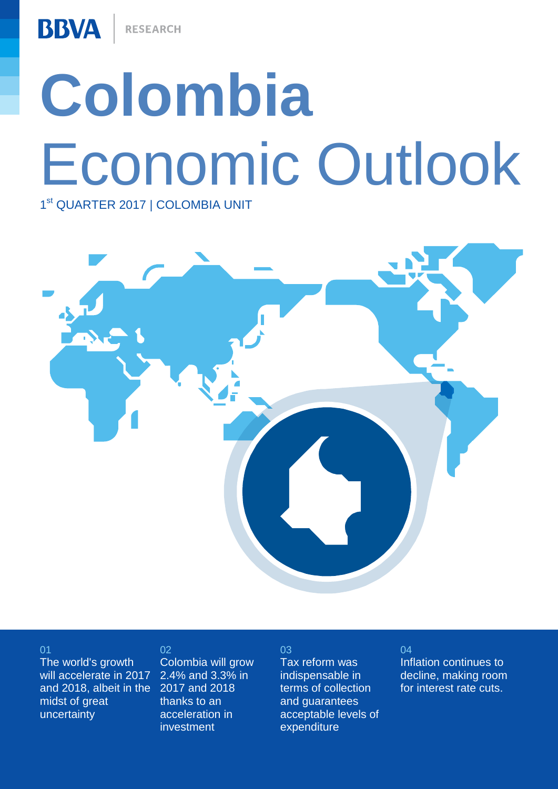RESEARCH

**BBVA** 

# **Colombia** Economic Outlook

1<sup>st</sup> QUARTER 2017 | COLOMBIA UNIT



01

02

The world's growth will accelerate in 2017 and 2018, albeit in the 2017 and 2018 midst of great uncertainty

Colombia will grow 2.4% and 3.3% in thanks to an acceleration in investment

#### 03

Tax reform was indispensable in terms of collection and guarantees acceptable levels of expenditure

#### 04

Inflation continues to decline, making room for interest rate cuts.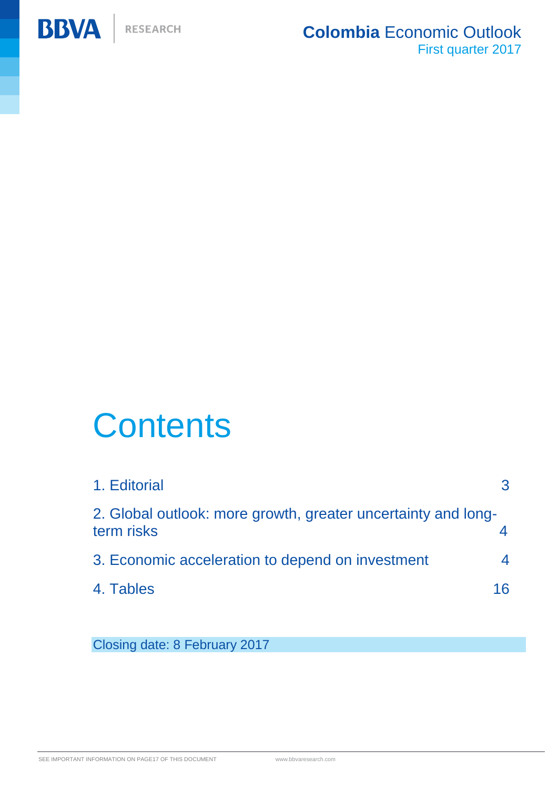

# **Contents**

| 1. Editorial                                                                |     |
|-----------------------------------------------------------------------------|-----|
| 2. Global outlook: more growth, greater uncertainty and long-<br>term risks |     |
| 3. Economic acceleration to depend on investment                            |     |
| 4. Tables                                                                   | 16. |

Closing date: 8 February 2017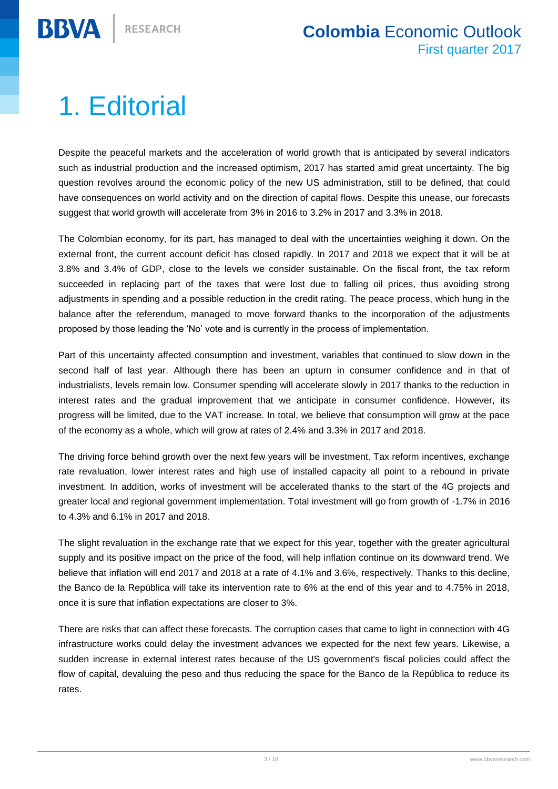## <span id="page-2-0"></span>1. Editorial

**BBVA** 

Despite the peaceful markets and the acceleration of world growth that is anticipated by several indicators such as industrial production and the increased optimism, 2017 has started amid great uncertainty. The big question revolves around the economic policy of the new US administration, still to be defined, that could have consequences on world activity and on the direction of capital flows. Despite this unease, our forecasts suggest that world growth will accelerate from 3% in 2016 to 3.2% in 2017 and 3.3% in 2018.

The Colombian economy, for its part, has managed to deal with the uncertainties weighing it down. On the external front, the current account deficit has closed rapidly. In 2017 and 2018 we expect that it will be at 3.8% and 3.4% of GDP, close to the levels we consider sustainable. On the fiscal front, the tax reform succeeded in replacing part of the taxes that were lost due to falling oil prices, thus avoiding strong adjustments in spending and a possible reduction in the credit rating. The peace process, which hung in the balance after the referendum, managed to move forward thanks to the incorporation of the adjustments proposed by those leading the 'No' vote and is currently in the process of implementation.

Part of this uncertainty affected consumption and investment, variables that continued to slow down in the second half of last year. Although there has been an upturn in consumer confidence and in that of industrialists, levels remain low. Consumer spending will accelerate slowly in 2017 thanks to the reduction in interest rates and the gradual improvement that we anticipate in consumer confidence. However, its progress will be limited, due to the VAT increase. In total, we believe that consumption will grow at the pace of the economy as a whole, which will grow at rates of 2.4% and 3.3% in 2017 and 2018.

The driving force behind growth over the next few years will be investment. Tax reform incentives, exchange rate revaluation, lower interest rates and high use of installed capacity all point to a rebound in private investment. In addition, works of investment will be accelerated thanks to the start of the 4G projects and greater local and regional government implementation. Total investment will go from growth of -1.7% in 2016 to 4.3% and 6.1% in 2017 and 2018.

The slight revaluation in the exchange rate that we expect for this year, together with the greater agricultural supply and its positive impact on the price of the food, will help inflation continue on its downward trend. We believe that inflation will end 2017 and 2018 at a rate of 4.1% and 3.6%, respectively. Thanks to this decline, the Banco de la República will take its intervention rate to 6% at the end of this year and to 4.75% in 2018, once it is sure that inflation expectations are closer to 3%.

There are risks that can affect these forecasts. The corruption cases that came to light in connection with 4G infrastructure works could delay the investment advances we expected for the next few years. Likewise, a sudden increase in external interest rates because of the US government's fiscal policies could affect the flow of capital, devaluing the peso and thus reducing the space for the Banco de la República to reduce its rates.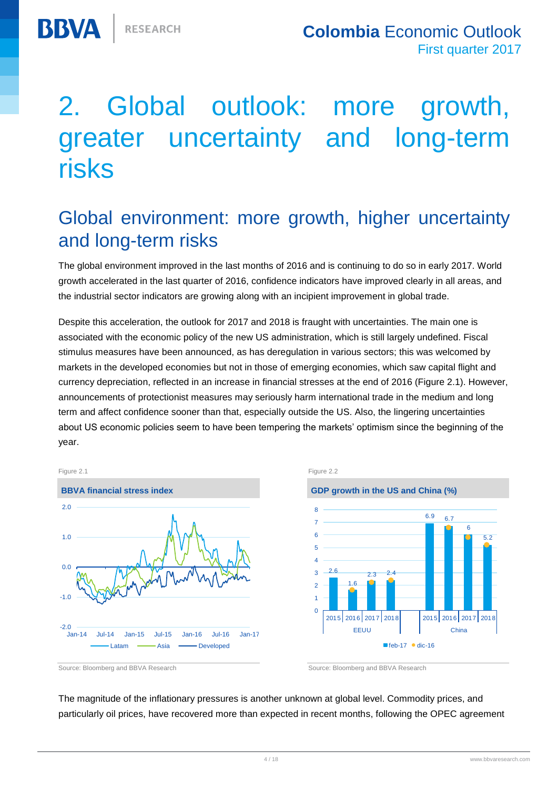# Global outlook: more growth, greater uncertainty and long-term risks

#### Global environment: more growth, higher uncertainty and long-term risks

The global environment improved in the last months of 2016 and is continuing to do so in early 2017. World growth accelerated in the last quarter of 2016, confidence indicators have improved clearly in all areas, and the industrial sector indicators are growing along with an incipient improvement in global trade.

Despite this acceleration, the outlook for 2017 and 2018 is fraught with uncertainties. The main one is associated with the economic policy of the new US administration, which is still largely undefined. Fiscal stimulus measures have been announced, as has deregulation in various sectors; this was welcomed by markets in the developed economies but not in those of emerging economies, which saw capital flight and currency depreciation, reflected in an increase in financial stresses at the end of 2016 (Figure 2.1). However, announcements of protectionist measures may seriously harm international trade in the medium and long term and affect confidence sooner than that, especially outside the US. Also, the lingering uncertainties about US economic policies seem to have been tempering the markets' optimism since the beginning of the year.



2.6 1.6  $2.3 - 2.4$ 6.9 6.7 6 5.2  $\overline{0}$ 1  $\overline{2}$  $\overline{2}$ 4 5 6 7 8 2015 2016 2017 2018 2015 2016 2017 2018 EEUU China  $f$ eb-17  $\bullet$  dic-16

Source: Bloomberg and BBVA Research Source: Bloomberg and BBVA Research

The magnitude of the inflationary pressures is another unknown at global level. Commodity prices, and particularly oil prices, have recovered more than expected in recent months, following the OPEC agreement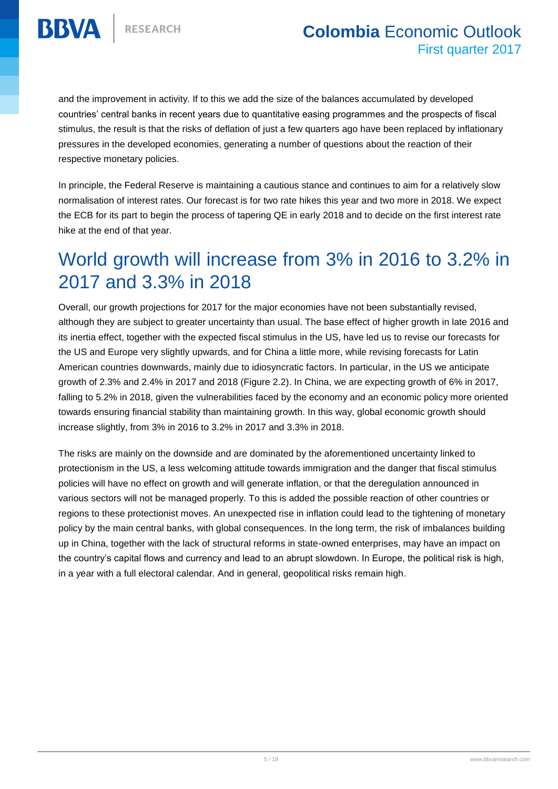

and the improvement in activity. If to this we add the size of the balances accumulated by developed countries' central banks in recent years due to quantitative easing programmes and the prospects of fiscal stimulus, the result is that the risks of deflation of just a few quarters ago have been replaced by inflationary pressures in the developed economies, generating a number of questions about the reaction of their respective monetary policies.

In principle, the Federal Reserve is maintaining a cautious stance and continues to aim for a relatively slow normalisation of interest rates. Our forecast is for two rate hikes this year and two more in 2018. We expect the ECB for its part to begin the process of tapering QE in early 2018 and to decide on the first interest rate hike at the end of that year.

#### World growth will increase from 3% in 2016 to 3.2% in 2017 and 3.3% in 2018

Overall, our growth projections for 2017 for the major economies have not been substantially revised, although they are subject to greater uncertainty than usual. The base effect of higher growth in late 2016 and its inertia effect, together with the expected fiscal stimulus in the US, have led us to revise our forecasts for the US and Europe very slightly upwards, and for China a little more, while revising forecasts for Latin American countries downwards, mainly due to idiosyncratic factors. In particular, in the US we anticipate growth of 2.3% and 2.4% in 2017 and 2018 (Figure 2.2). In China, we are expecting growth of 6% in 2017, falling to 5.2% in 2018, given the vulnerabilities faced by the economy and an economic policy more oriented towards ensuring financial stability than maintaining growth. In this way, global economic growth should increase slightly, from 3% in 2016 to 3.2% in 2017 and 3.3% in 2018.

The risks are mainly on the downside and are dominated by the aforementioned uncertainty linked to protectionism in the US, a less welcoming attitude towards immigration and the danger that fiscal stimulus policies will have no effect on growth and will generate inflation, or that the deregulation announced in various sectors will not be managed properly. To this is added the possible reaction of other countries or regions to these protectionist moves. An unexpected rise in inflation could lead to the tightening of monetary policy by the main central banks, with global consequences. In the long term, the risk of imbalances building up in China, together with the lack of structural reforms in state-owned enterprises, may have an impact on the country's capital flows and currency and lead to an abrupt slowdown. In Europe, the political risk is high, in a year with a full electoral calendar. And in general, geopolitical risks remain high.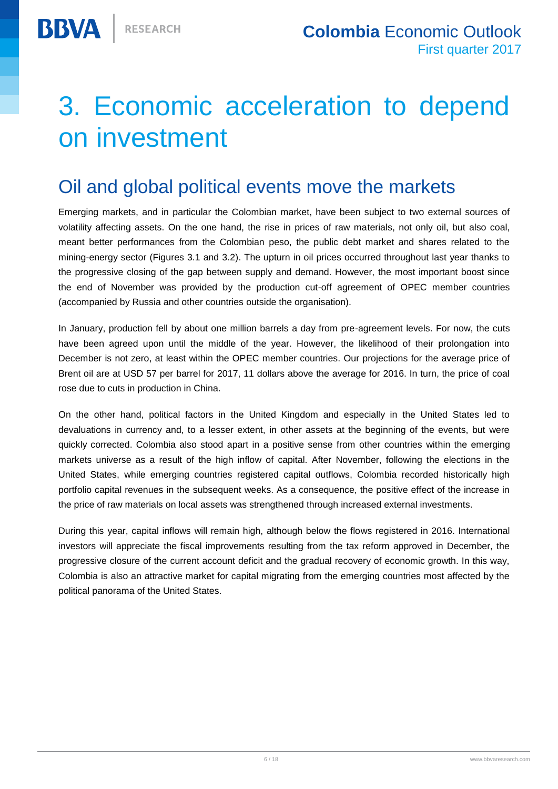## <span id="page-5-0"></span>3. Economic acceleration to depend on investment

#### Oil and global political events move the markets

Emerging markets, and in particular the Colombian market, have been subject to two external sources of volatility affecting assets. On the one hand, the rise in prices of raw materials, not only oil, but also coal, meant better performances from the Colombian peso, the public debt market and shares related to the mining-energy sector (Figures 3.1 and 3.2). The upturn in oil prices occurred throughout last year thanks to the progressive closing of the gap between supply and demand. However, the most important boost since the end of November was provided by the production cut-off agreement of OPEC member countries (accompanied by Russia and other countries outside the organisation).

In January, production fell by about one million barrels a day from pre-agreement levels. For now, the cuts have been agreed upon until the middle of the year. However, the likelihood of their prolongation into December is not zero, at least within the OPEC member countries. Our projections for the average price of Brent oil are at USD 57 per barrel for 2017, 11 dollars above the average for 2016. In turn, the price of coal rose due to cuts in production in China.

On the other hand, political factors in the United Kingdom and especially in the United States led to devaluations in currency and, to a lesser extent, in other assets at the beginning of the events, but were quickly corrected. Colombia also stood apart in a positive sense from other countries within the emerging markets universe as a result of the high inflow of capital. After November, following the elections in the United States, while emerging countries registered capital outflows, Colombia recorded historically high portfolio capital revenues in the subsequent weeks. As a consequence, the positive effect of the increase in the price of raw materials on local assets was strengthened through increased external investments.

During this year, capital inflows will remain high, although below the flows registered in 2016. International investors will appreciate the fiscal improvements resulting from the tax reform approved in December, the progressive closure of the current account deficit and the gradual recovery of economic growth. In this way, Colombia is also an attractive market for capital migrating from the emerging countries most affected by the political panorama of the United States.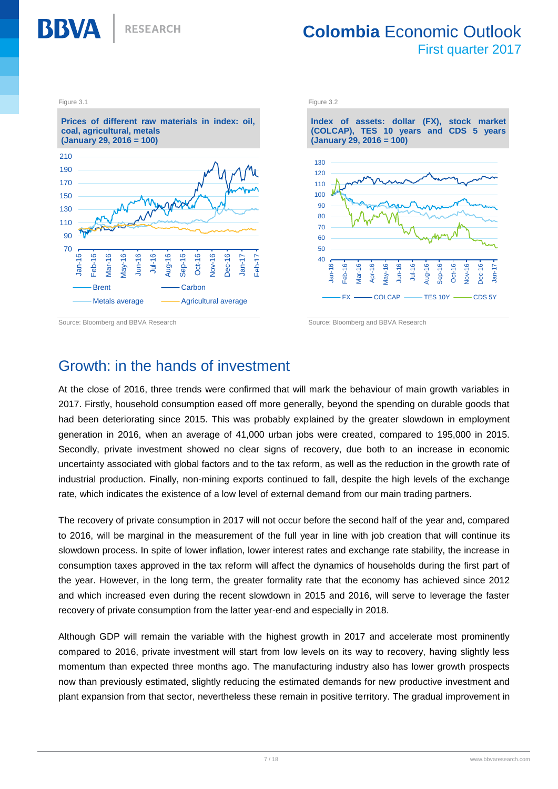

**RESEARCH** 

#### **Colombia** Economic Outlook First quarter 2017



#### Growth: in the hands of investment

At the close of 2016, three trends were confirmed that will mark the behaviour of main growth variables in 2017. Firstly, household consumption eased off more generally, beyond the spending on durable goods that had been deteriorating since 2015. This was probably explained by the greater slowdown in employment generation in 2016, when an average of 41,000 urban jobs were created, compared to 195,000 in 2015. Secondly, private investment showed no clear signs of recovery, due both to an increase in economic uncertainty associated with global factors and to the tax reform, as well as the reduction in the growth rate of industrial production. Finally, non-mining exports continued to fall, despite the high levels of the exchange rate, which indicates the existence of a low level of external demand from our main trading partners.

The recovery of private consumption in 2017 will not occur before the second half of the year and, compared to 2016, will be marginal in the measurement of the full year in line with job creation that will continue its slowdown process. In spite of lower inflation, lower interest rates and exchange rate stability, the increase in consumption taxes approved in the tax reform will affect the dynamics of households during the first part of the year. However, in the long term, the greater formality rate that the economy has achieved since 2012 and which increased even during the recent slowdown in 2015 and 2016, will serve to leverage the faster recovery of private consumption from the latter year-end and especially in 2018.

Although GDP will remain the variable with the highest growth in 2017 and accelerate most prominently compared to 2016, private investment will start from low levels on its way to recovery, having slightly less momentum than expected three months ago. The manufacturing industry also has lower growth prospects now than previously estimated, slightly reducing the estimated demands for new productive investment and plant expansion from that sector, nevertheless these remain in positive territory. The gradual improvement in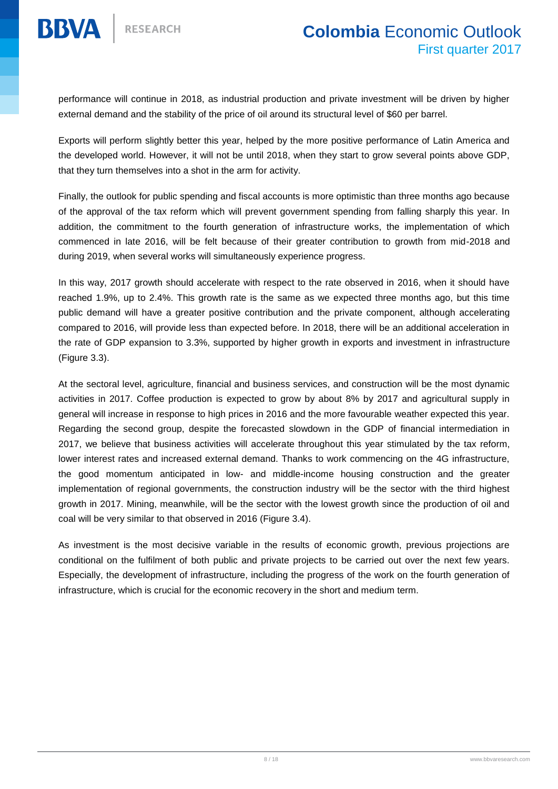

performance will continue in 2018, as industrial production and private investment will be driven by higher external demand and the stability of the price of oil around its structural level of \$60 per barrel.

Exports will perform slightly better this year, helped by the more positive performance of Latin America and the developed world. However, it will not be until 2018, when they start to grow several points above GDP, that they turn themselves into a shot in the arm for activity.

Finally, the outlook for public spending and fiscal accounts is more optimistic than three months ago because of the approval of the tax reform which will prevent government spending from falling sharply this year. In addition, the commitment to the fourth generation of infrastructure works, the implementation of which commenced in late 2016, will be felt because of their greater contribution to growth from mid-2018 and during 2019, when several works will simultaneously experience progress.

In this way, 2017 growth should accelerate with respect to the rate observed in 2016, when it should have reached 1.9%, up to 2.4%. This growth rate is the same as we expected three months ago, but this time public demand will have a greater positive contribution and the private component, although accelerating compared to 2016, will provide less than expected before. In 2018, there will be an additional acceleration in the rate of GDP expansion to 3.3%, supported by higher growth in exports and investment in infrastructure (Figure 3.3).

At the sectoral level, agriculture, financial and business services, and construction will be the most dynamic activities in 2017. Coffee production is expected to grow by about 8% by 2017 and agricultural supply in general will increase in response to high prices in 2016 and the more favourable weather expected this year. Regarding the second group, despite the forecasted slowdown in the GDP of financial intermediation in 2017, we believe that business activities will accelerate throughout this year stimulated by the tax reform, lower interest rates and increased external demand. Thanks to work commencing on the 4G infrastructure, the good momentum anticipated in low- and middle-income housing construction and the greater implementation of regional governments, the construction industry will be the sector with the third highest growth in 2017. Mining, meanwhile, will be the sector with the lowest growth since the production of oil and coal will be very similar to that observed in 2016 (Figure 3.4).

As investment is the most decisive variable in the results of economic growth, previous projections are conditional on the fulfilment of both public and private projects to be carried out over the next few years. Especially, the development of infrastructure, including the progress of the work on the fourth generation of infrastructure, which is crucial for the economic recovery in the short and medium term.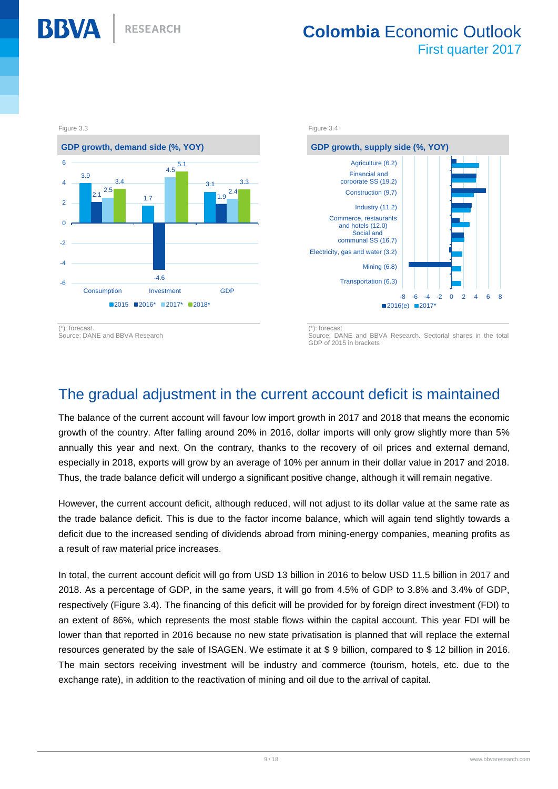

Source: DANE and BBVA Research

Source: DANE and BBVA Research. Sectorial shares in the total GDP of 2015 in brackets

2016(e) 2017\*

-8 -6 -4 -2 0 2 4 6 8

#### The gradual adjustment in the current account deficit is maintained

The balance of the current account will favour low import growth in 2017 and 2018 that means the economic growth of the country. After falling around 20% in 2016, dollar imports will only grow slightly more than 5% annually this year and next. On the contrary, thanks to the recovery of oil prices and external demand, especially in 2018, exports will grow by an average of 10% per annum in their dollar value in 2017 and 2018. Thus, the trade balance deficit will undergo a significant positive change, although it will remain negative.

However, the current account deficit, although reduced, will not adjust to its dollar value at the same rate as the trade balance deficit. This is due to the factor income balance, which will again tend slightly towards a deficit due to the increased sending of dividends abroad from mining-energy companies, meaning profits as a result of raw material price increases.

In total, the current account deficit will go from USD 13 billion in 2016 to below USD 11.5 billion in 2017 and 2018. As a percentage of GDP, in the same years, it will go from 4.5% of GDP to 3.8% and 3.4% of GDP, respectively (Figure 3.4). The financing of this deficit will be provided for by foreign direct investment (FDI) to an extent of 86%, which represents the most stable flows within the capital account. This year FDI will be lower than that reported in 2016 because no new state privatisation is planned that will replace the external resources generated by the sale of ISAGEN. We estimate it at \$ 9 billion, compared to \$ 12 billion in 2016. The main sectors receiving investment will be industry and commerce (tourism, hotels, etc. due to the exchange rate), in addition to the reactivation of mining and oil due to the arrival of capital.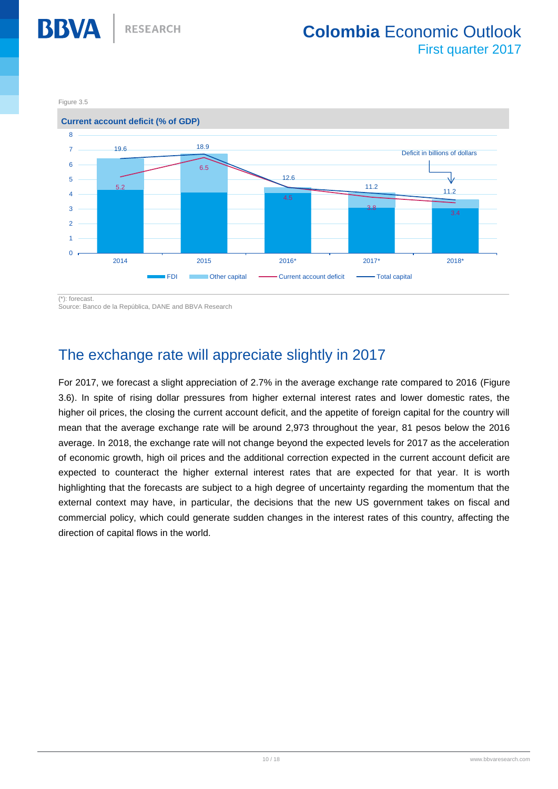Figure 3.5

**BBVA** 



(\*): forecast.

Source: Banco de la República, DANE and BBVA Research

#### The exchange rate will appreciate slightly in 2017

For 2017, we forecast a slight appreciation of 2.7% in the average exchange rate compared to 2016 (Figure 3.6). In spite of rising dollar pressures from higher external interest rates and lower domestic rates, the higher oil prices, the closing the current account deficit, and the appetite of foreign capital for the country will mean that the average exchange rate will be around 2,973 throughout the year, 81 pesos below the 2016 average. In 2018, the exchange rate will not change beyond the expected levels for 2017 as the acceleration of economic growth, high oil prices and the additional correction expected in the current account deficit are expected to counteract the higher external interest rates that are expected for that year. It is worth highlighting that the forecasts are subject to a high degree of uncertainty regarding the momentum that the external context may have, in particular, the decisions that the new US government takes on fiscal and commercial policy, which could generate sudden changes in the interest rates of this country, affecting the direction of capital flows in the world.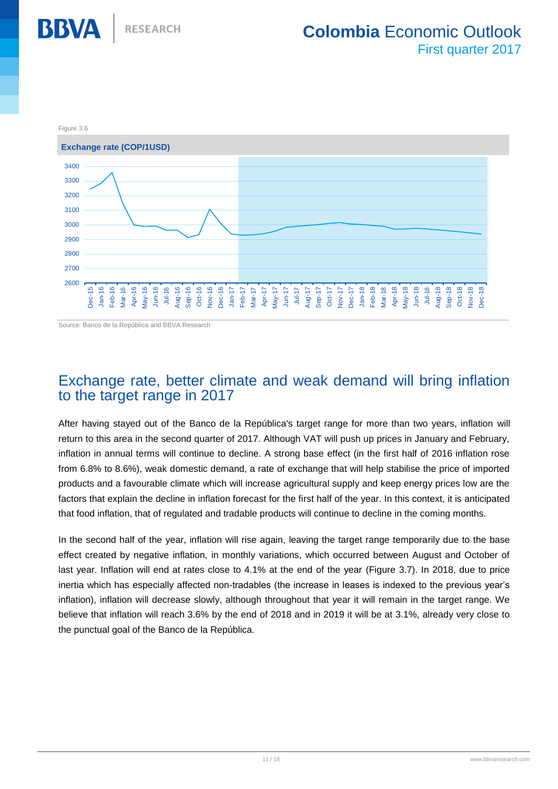

Source: Banco de la República and BBVA Research

#### Exchange rate, better climate and weak demand will bring inflation to the target range in 2017

After having stayed out of the Banco de la República's target range for more than two years, inflation will return to this area in the second quarter of 2017. Although VAT will push up prices in January and February, inflation in annual terms will continue to decline. A strong base effect (in the first half of 2016 inflation rose from 6.8% to 8.6%), weak domestic demand, a rate of exchange that will help stabilise the price of imported products and a favourable climate which will increase agricultural supply and keep energy prices low are the factors that explain the decline in inflation forecast for the first half of the year. In this context, it is anticipated that food inflation, that of regulated and tradable products will continue to decline in the coming months.

In the second half of the year, inflation will rise again, leaving the target range temporarily due to the base effect created by negative inflation, in monthly variations, which occurred between August and October of last year. Inflation will end at rates close to 4.1% at the end of the year (Figure 3.7). In 2018, due to price inertia which has especially affected non-tradables (the increase in leases is indexed to the previous year's inflation), inflation will decrease slowly, although throughout that year it will remain in the target range. We believe that inflation will reach 3.6% by the end of 2018 and in 2019 it will be at 3.1%, already very close to the punctual goal of the Banco de la República.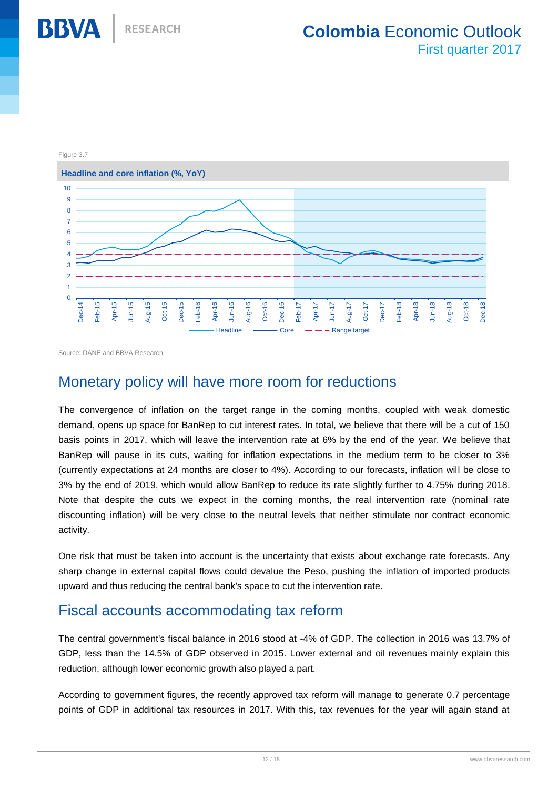

Source: DANE and BBVA Research

#### Monetary policy will have more room for reductions

The convergence of inflation on the target range in the coming months, coupled with weak domestic demand, opens up space for BanRep to cut interest rates. In total, we believe that there will be a cut of 150 basis points in 2017, which will leave the intervention rate at 6% by the end of the year. We believe that BanRep will pause in its cuts, waiting for inflation expectations in the medium term to be closer to 3% (currently expectations at 24 months are closer to 4%). According to our forecasts, inflation will be close to 3% by the end of 2019, which would allow BanRep to reduce its rate slightly further to 4.75% during 2018. Note that despite the cuts we expect in the coming months, the real intervention rate (nominal rate discounting inflation) will be very close to the neutral levels that neither stimulate nor contract economic activity.

One risk that must be taken into account is the uncertainty that exists about exchange rate forecasts. Any sharp change in external capital flows could devalue the Peso, pushing the inflation of imported products upward and thus reducing the central bank's space to cut the intervention rate.

#### Fiscal accounts accommodating tax reform

The central government's fiscal balance in 2016 stood at -4% of GDP. The collection in 2016 was 13.7% of GDP, less than the 14.5% of GDP observed in 2015. Lower external and oil revenues mainly explain this reduction, although lower economic growth also played a part.

According to government figures, the recently approved tax reform will manage to generate 0.7 percentage points of GDP in additional tax resources in 2017. With this, tax revenues for the year will again stand at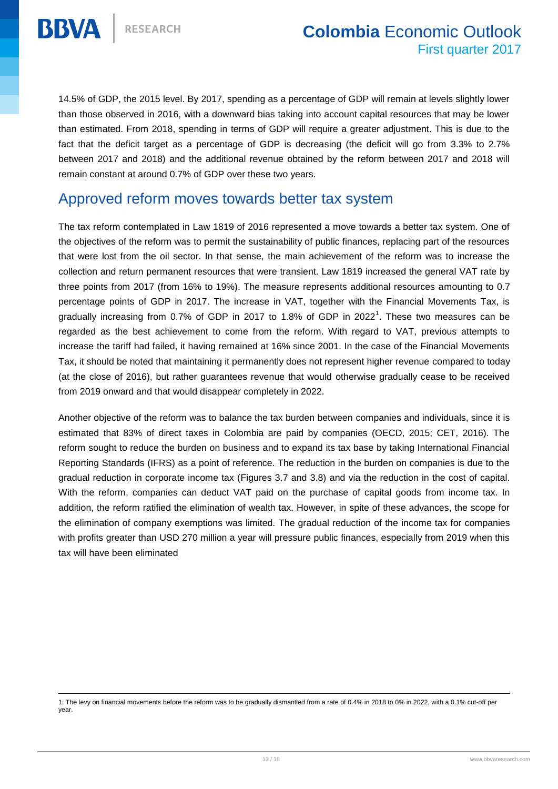

 $\overline{a}$ 

14.5% of GDP, the 2015 level. By 2017, spending as a percentage of GDP will remain at levels slightly lower than those observed in 2016, with a downward bias taking into account capital resources that may be lower than estimated. From 2018, spending in terms of GDP will require a greater adjustment. This is due to the fact that the deficit target as a percentage of GDP is decreasing (the deficit will go from 3.3% to 2.7% between 2017 and 2018) and the additional revenue obtained by the reform between 2017 and 2018 will remain constant at around 0.7% of GDP over these two years.

#### Approved reform moves towards better tax system

The tax reform contemplated in Law 1819 of 2016 represented a move towards a better tax system. One of the objectives of the reform was to permit the sustainability of public finances, replacing part of the resources that were lost from the oil sector. In that sense, the main achievement of the reform was to increase the collection and return permanent resources that were transient. Law 1819 increased the general VAT rate by three points from 2017 (from 16% to 19%). The measure represents additional resources amounting to 0.7 percentage points of GDP in 2017. The increase in VAT, together with the Financial Movements Tax, is gradually increasing from 0.7% of GDP in 2017 to 1.8% of GDP in 2022<sup>1</sup>. These two measures can be regarded as the best achievement to come from the reform. With regard to VAT, previous attempts to increase the tariff had failed, it having remained at 16% since 2001. In the case of the Financial Movements Tax, it should be noted that maintaining it permanently does not represent higher revenue compared to today (at the close of 2016), but rather guarantees revenue that would otherwise gradually cease to be received from 2019 onward and that would disappear completely in 2022.

Another objective of the reform was to balance the tax burden between companies and individuals, since it is estimated that 83% of direct taxes in Colombia are paid by companies (OECD, 2015; CET, 2016). The reform sought to reduce the burden on business and to expand its tax base by taking International Financial Reporting Standards (IFRS) as a point of reference. The reduction in the burden on companies is due to the gradual reduction in corporate income tax (Figures 3.7 and 3.8) and via the reduction in the cost of capital. With the reform, companies can deduct VAT paid on the purchase of capital goods from income tax. In addition, the reform ratified the elimination of wealth tax. However, in spite of these advances, the scope for the elimination of company exemptions was limited. The gradual reduction of the income tax for companies with profits greater than USD 270 million a year will pressure public finances, especially from 2019 when this tax will have been eliminated

<sup>1:</sup> The levy on financial movements before the reform was to be gradually dismantled from a rate of 0.4% in 2018 to 0% in 2022, with a 0.1% cut-off per year.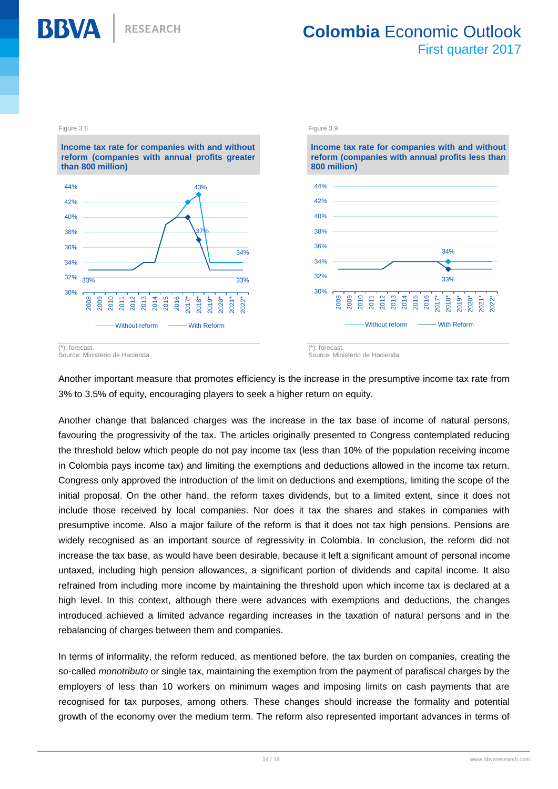

**Income tax rate for companies with and without reform (companies with annual profits greater than 800 million)** 43% 34% 33% 37% 33% 30% 32% 34% 36% 38% 40% 42% 44% 2008 2009 2010 2011 2012 2013 2014 2015 2016 2017\* 2018\* 2019\* 2020\* 2021\* 2022\* Without reform - With Reform



(\*): forecast. Source: Ministerio de Hacienda

Another important measure that promotes efficiency is the increase in the presumptive income tax rate from 3% to 3.5% of equity, encouraging players to seek a higher return on equity.

Another change that balanced charges was the increase in the tax base of income of natural persons, favouring the progressivity of the tax. The articles originally presented to Congress contemplated reducing the threshold below which people do not pay income tax (less than 10% of the population receiving income in Colombia pays income tax) and limiting the exemptions and deductions allowed in the income tax return. Congress only approved the introduction of the limit on deductions and exemptions, limiting the scope of the initial proposal. On the other hand, the reform taxes dividends, but to a limited extent, since it does not include those received by local companies. Nor does it tax the shares and stakes in companies with presumptive income. Also a major failure of the reform is that it does not tax high pensions. Pensions are widely recognised as an important source of regressivity in Colombia. In conclusion, the reform did not increase the tax base, as would have been desirable, because it left a significant amount of personal income untaxed, including high pension allowances, a significant portion of dividends and capital income. It also refrained from including more income by maintaining the threshold upon which income tax is declared at a high level. In this context, although there were advances with exemptions and deductions, the changes introduced achieved a limited advance regarding increases in the taxation of natural persons and in the rebalancing of charges between them and companies.

In terms of informality, the reform reduced, as mentioned before, the tax burden on companies, creating the so-called *monotributo* or single tax, maintaining the exemption from the payment of parafiscal charges by the employers of less than 10 workers on minimum wages and imposing limits on cash payments that are recognised for tax purposes, among others. These changes should increase the formality and potential growth of the economy over the medium term. The reform also represented important advances in terms of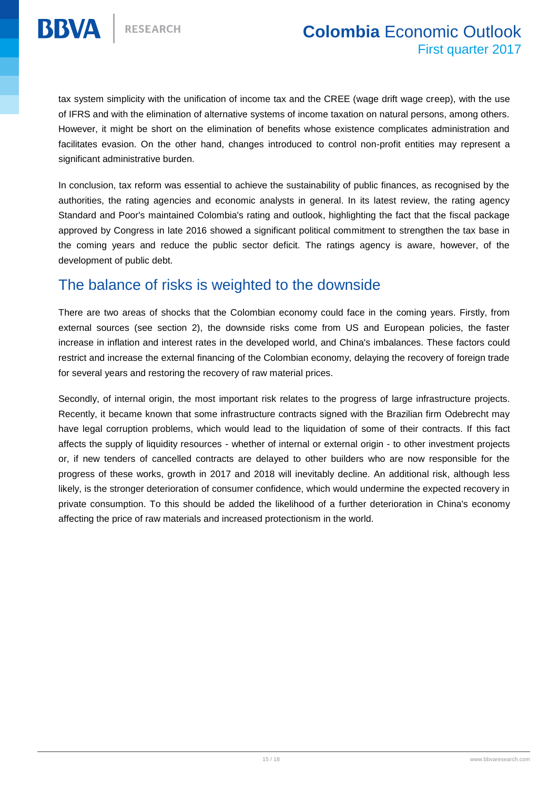tax system simplicity with the unification of income tax and the CREE (wage drift wage creep), with the use of IFRS and with the elimination of alternative systems of income taxation on natural persons, among others. However, it might be short on the elimination of benefits whose existence complicates administration and facilitates evasion. On the other hand, changes introduced to control non-profit entities may represent a significant administrative burden.

In conclusion, tax reform was essential to achieve the sustainability of public finances, as recognised by the authorities, the rating agencies and economic analysts in general. In its latest review, the rating agency Standard and Poor's maintained Colombia's rating and outlook, highlighting the fact that the fiscal package approved by Congress in late 2016 showed a significant political commitment to strengthen the tax base in the coming years and reduce the public sector deficit. The ratings agency is aware, however, of the development of public debt.

#### The balance of risks is weighted to the downside

There are two areas of shocks that the Colombian economy could face in the coming years. Firstly, from external sources (see section 2), the downside risks come from US and European policies, the faster increase in inflation and interest rates in the developed world, and China's imbalances. These factors could restrict and increase the external financing of the Colombian economy, delaying the recovery of foreign trade for several years and restoring the recovery of raw material prices.

Secondly, of internal origin, the most important risk relates to the progress of large infrastructure projects. Recently, it became known that some infrastructure contracts signed with the Brazilian firm Odebrecht may have legal corruption problems, which would lead to the liquidation of some of their contracts. If this fact affects the supply of liquidity resources - whether of internal or external origin - to other investment projects or, if new tenders of cancelled contracts are delayed to other builders who are now responsible for the progress of these works, growth in 2017 and 2018 will inevitably decline. An additional risk, although less likely, is the stronger deterioration of consumer confidence, which would undermine the expected recovery in private consumption. To this should be added the likelihood of a further deterioration in China's economy affecting the price of raw materials and increased protectionism in the world.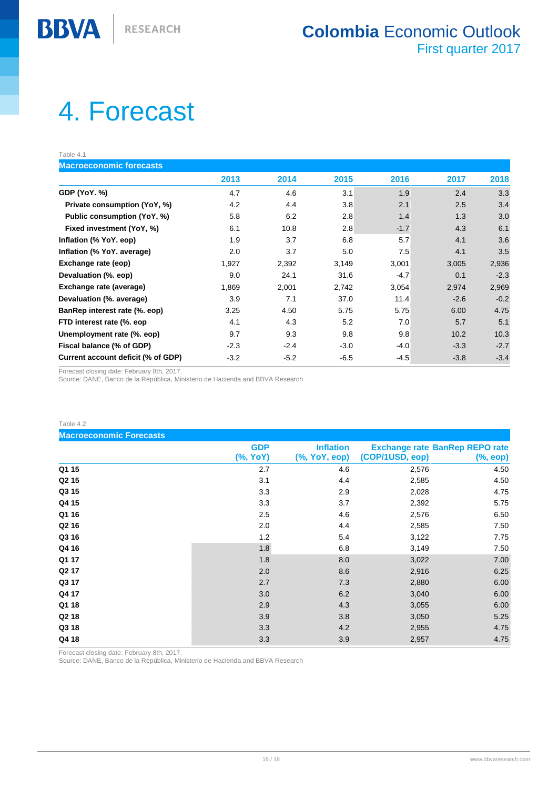# <span id="page-15-0"></span>4. Forecast

Table 4.1

**BBVA** 

**Macroeconomic forecasts**

| 2013   | 2014   |        |        |        |        |
|--------|--------|--------|--------|--------|--------|
|        |        | 2015   | 2016   | 2017   | 2018   |
| 4.7    | 4.6    | 3.1    | 1.9    | 2.4    | 3.3    |
| 4.2    | 4.4    | 3.8    | 2.1    | 2.5    | 3.4    |
| 5.8    | 6.2    | 2.8    | 1.4    | 1.3    | 3.0    |
| 6.1    | 10.8   | 2.8    | $-1.7$ | 4.3    | 6.1    |
| 1.9    | 3.7    | 6.8    | 5.7    | 4.1    | 3.6    |
| 2.0    | 3.7    | 5.0    | 7.5    | 4.1    | 3.5    |
| 1,927  | 2,392  | 3,149  | 3,001  | 3,005  | 2,936  |
| 9.0    | 24.1   | 31.6   | $-4.7$ | 0.1    | $-2.3$ |
| 1,869  | 2,001  | 2,742  | 3,054  | 2,974  | 2,969  |
| 3.9    | 7.1    | 37.0   | 11.4   | $-2.6$ | $-0.2$ |
| 3.25   | 4.50   | 5.75   | 5.75   | 6.00   | 4.75   |
| 4.1    | 4.3    | 5.2    | 7.0    | 5.7    | 5.1    |
| 9.7    | 9.3    | 9.8    | 9.8    | 10.2   | 10.3   |
| $-2.3$ | $-2.4$ | $-3.0$ | $-4.0$ | $-3.3$ | $-2.7$ |
| $-3.2$ | $-5.2$ | $-6.5$ | $-4.5$ | $-3.8$ | $-3.4$ |
|        |        |        |        |        |        |

Forecast closing date: February 8th, 2017.

Source: DANE, Banco de la República, Ministerio de Hacienda and BBVA Research

| Table 4.2                      |                        |                                   |                 |                                                   |
|--------------------------------|------------------------|-----------------------------------|-----------------|---------------------------------------------------|
| <b>Macroeconomic Forecasts</b> |                        |                                   |                 |                                                   |
|                                | <b>GDP</b><br>(%, YoY) | <b>Inflation</b><br>(%, YoY, eop) | (COP/1USD, eop) | <b>Exchange rate BanRep REPO rate</b><br>(%, eop) |
| Q1 15                          | 2.7                    | 4.6                               | 2,576           | 4.50                                              |
| Q <sub>2</sub> 15              | 3.1                    | 4.4                               | 2,585           | 4.50                                              |
| Q3 15                          | 3.3                    | 2.9                               | 2,028           | 4.75                                              |
| Q4 15                          | 3.3                    | 3.7                               | 2,392           | 5.75                                              |
| Q1 16                          | 2.5                    | 4.6                               | 2,576           | 6.50                                              |
| Q <sub>2</sub> 16              | 2.0                    | 4.4                               | 2,585           | 7.50                                              |
| Q3 16                          | 1.2                    | 5.4                               | 3,122           | 7.75                                              |
| Q4 16                          | 1.8                    | 6.8                               | 3,149           | 7.50                                              |
| Q1 17                          | 1.8                    | 8.0                               | 3,022           | 7.00                                              |
| Q <sub>2</sub> 17              | 2.0                    | 8.6                               | 2,916           | 6.25                                              |
| Q3 17                          | 2.7                    | 7.3                               | 2,880           | 6.00                                              |
| Q4 17                          | 3.0                    | 6.2                               | 3,040           | 6.00                                              |
| Q1 18                          | 2.9                    | 4.3                               | 3,055           | 6.00                                              |
| Q2 18                          | 3.9                    | 3.8                               | 3,050           | 5.25                                              |
| Q3 18                          | 3.3                    | 4.2                               | 2,955           | 4.75                                              |
| Q4 18                          | 3.3                    | 3.9                               | 2,957           | 4.75                                              |

Forecast closing date: February 8th, 2017.

Source: DANE, Banco de la República, Ministerio de Hacienda and BBVA Research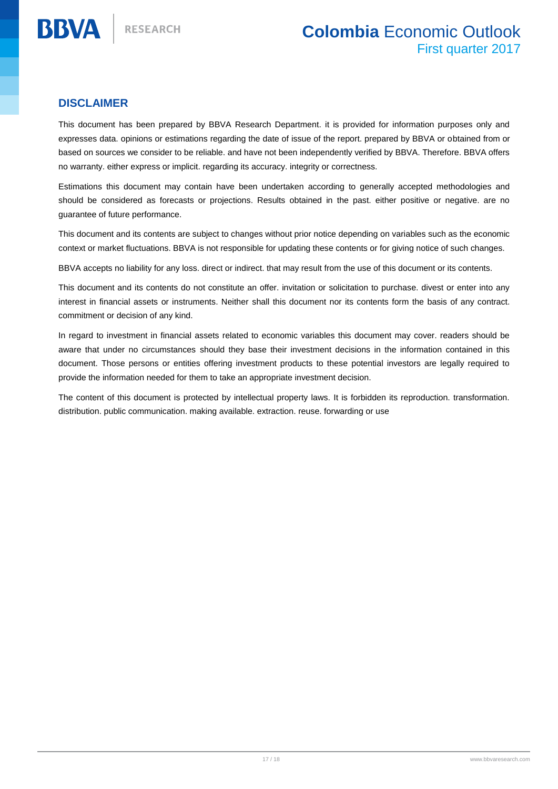#### **DISCLAIMER**

**BBVA** 

This document has been prepared by BBVA Research Department. it is provided for information purposes only and expresses data. opinions or estimations regarding the date of issue of the report. prepared by BBVA or obtained from or based on sources we consider to be reliable. and have not been independently verified by BBVA. Therefore. BBVA offers no warranty. either express or implicit. regarding its accuracy. integrity or correctness.

Estimations this document may contain have been undertaken according to generally accepted methodologies and should be considered as forecasts or projections. Results obtained in the past. either positive or negative. are no guarantee of future performance.

This document and its contents are subject to changes without prior notice depending on variables such as the economic context or market fluctuations. BBVA is not responsible for updating these contents or for giving notice of such changes.

BBVA accepts no liability for any loss. direct or indirect. that may result from the use of this document or its contents.

This document and its contents do not constitute an offer. invitation or solicitation to purchase. divest or enter into any interest in financial assets or instruments. Neither shall this document nor its contents form the basis of any contract. commitment or decision of any kind.

In regard to investment in financial assets related to economic variables this document may cover. readers should be aware that under no circumstances should they base their investment decisions in the information contained in this document. Those persons or entities offering investment products to these potential investors are legally required to provide the information needed for them to take an appropriate investment decision.

The content of this document is protected by intellectual property laws. It is forbidden its reproduction. transformation. distribution. public communication. making available. extraction. reuse. forwarding or use